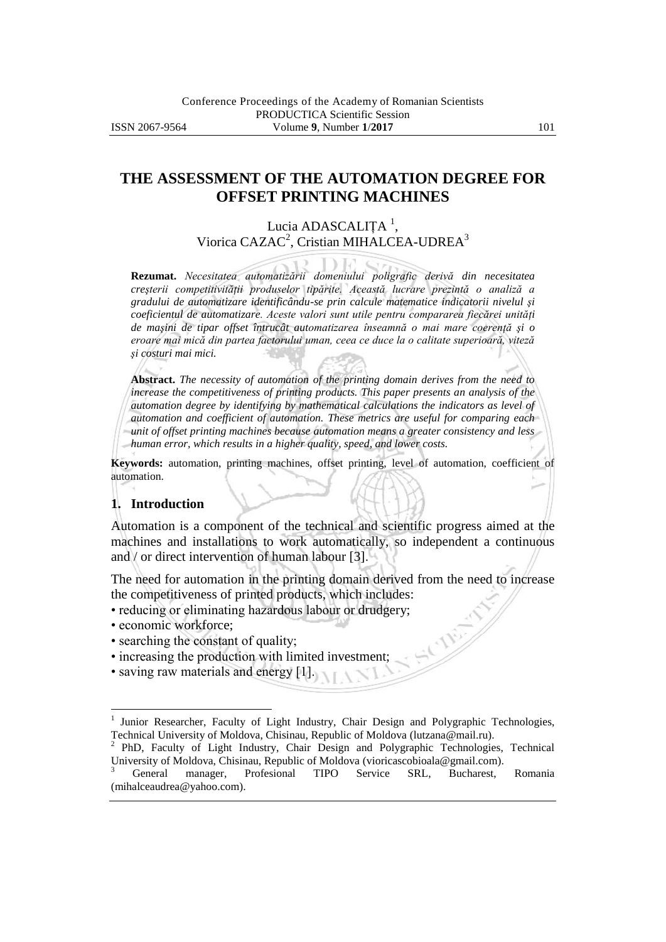## **THE ASSESSMENT OF THE AUTOMATION DEGREE FOR OFFSET PRINTING MACHINES**

### Lucia ADASCALIȚA<sup>1</sup>, Viorica CAZAC<sup>2</sup>, Cristian MIHALCEA-UDREA<sup>3</sup>

**Rezumat.** *Necesitatea automatizării domeniului poligrafic derivă din necesitatea creşterii competitivităţii produselor tipărite. Această lucrare prezintă o analiză a gradului de automatizare identificându-se prin calcule matematice indicatorii nivelul şi coeficientul de automatizare. Aceste valori sunt utile pentru compararea fiecărei unităţi de maşini de tipar offset întrucât automatizarea înseamnă o mai mare coerenţă şi o eroare mai mică din partea factorului uman, ceea ce duce la o calitate superioară, viteză şi costuri mai mici.*

**Abstract.** *The necessity of automation of the printing domain derives from the need to increase the competitiveness of printing products. This paper presents an analysis of the automation degree by identifying by mathematical calculations the indicators as level of automation and coefficient of automation. These metrics are useful for comparing each unit of offset printing machines because automation means a greater consistency and less human error, which results in a higher quality, speed, and lower costs.*

**Keywords:** automation, printing machines, offset printing, level of automation, coefficient of automation.

#### **1. Introduction**

Automation is a component of the technical and scientific progress aimed at the machines and installations to work automatically, so independent a continuous and / or direct intervention of human labour [3].

The need for automation in the printing domain derived from the need to increase the competitiveness of printed products, which includes:

- reducing or eliminating hazardous labour or drudgery;
- economic workforce;

 $\overline{a}$ 

- searching the constant of quality;
- increasing the production with limited investment;
- saving raw materials and energy [1].

<sup>1</sup> Junior Researcher, Faculty of Light Industry, Chair Design and Polygraphic Technologies, Technical University of Moldova, Chisinau, Republic of Moldova (lutzana@mail.ru).

<sup>2</sup> PhD, Faculty of Light Industry, Chair Design and Polygraphic Technologies, Technical University of Moldova, Chisinau, Republic of Moldova (vioricascobioala@gmail.com).

<sup>&</sup>lt;sup>3</sup> General manager, Profesional TIPO Service SRL, Bucharest, Romania (mihalceaudrea@yahoo.com).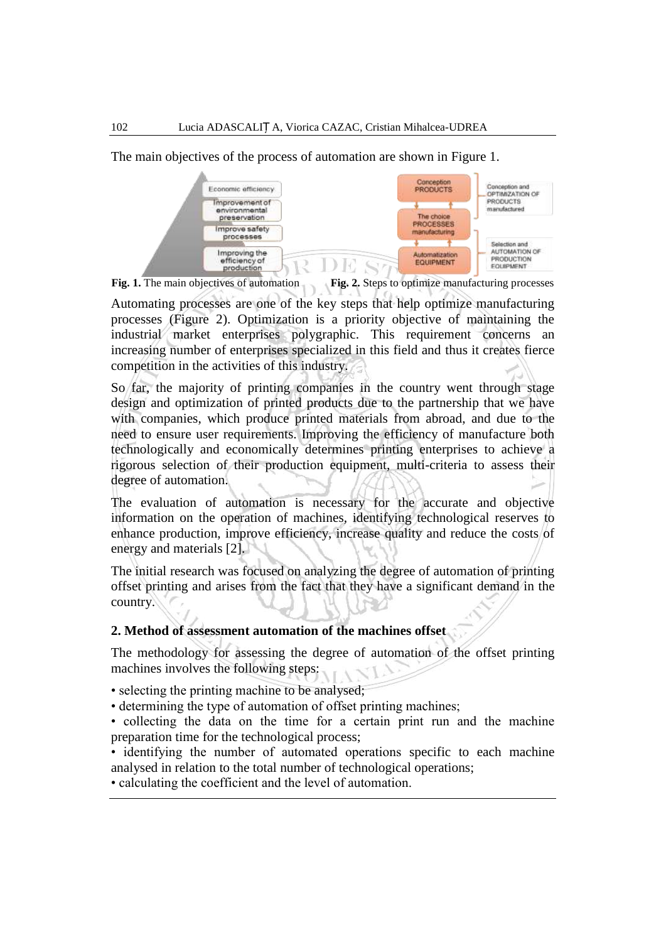The main objectives of the process of automation are shown in Figure 1.



**Fig. 1.** The main objectives of automation **Fig. 2.** Steps to optimize manufacturing processes

Automating processes are one of the key steps that help optimize manufacturing processes (Figure 2). Optimization is a priority objective of maintaining the industrial market enterprises polygraphic. This requirement concerns an increasing number of enterprises specialized in this field and thus it creates fierce competition in the activities of this industry.

So far, the majority of printing companies in the country went through stage design and optimization of printed products due to the partnership that we have with companies, which produce printed materials from abroad, and due to the need to ensure user requirements. Improving the efficiency of manufacture both technologically and economically determines printing enterprises to achieve a rigorous selection of their production equipment, multi-criteria to assess their degree of automation.

The evaluation of automation is necessary for the accurate and objective information on the operation of machines, identifying technological reserves to enhance production, improve efficiency, increase quality and reduce the costs of energy and materials [2].

The initial research was focused on analyzing the degree of automation of printing offset printing and arises from the fact that they have a significant demand in the country.

### **2. Method of assessment automation of the machines offset**

The methodology for assessing the degree of automation of the offset printing machines involves the following steps:

- selecting the printing machine to be analysed;
- determining the type of automation of offset printing machines;
- collecting the data on the time for a certain print run and the machine preparation time for the technological process;
- identifying the number of automated operations specific to each machine analysed in relation to the total number of technological operations;

• calculating the coefficient and the level of automation.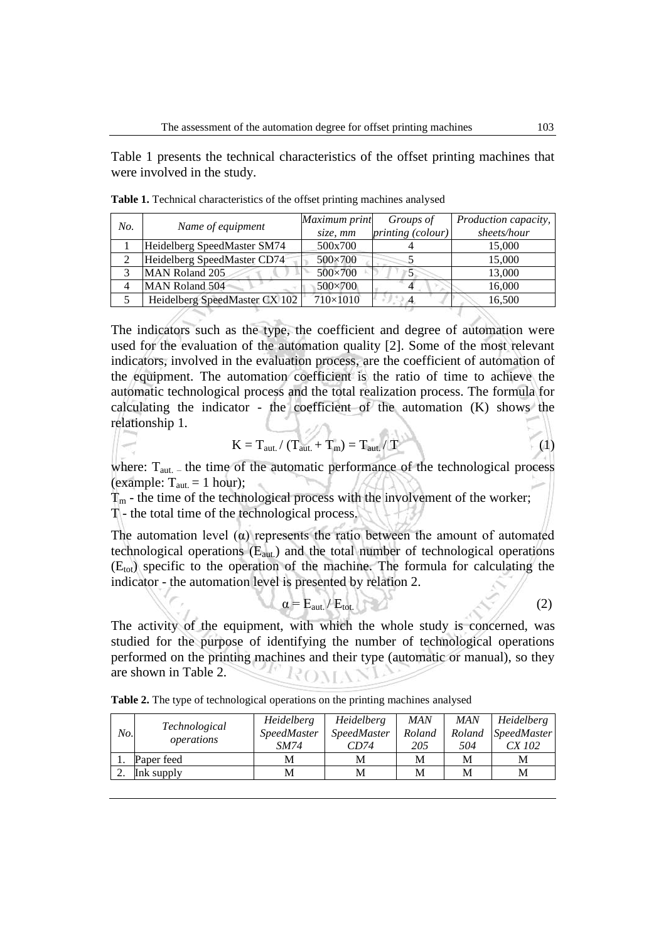Table 1 presents the technical characteristics of the offset printing machines that were involved in the study.

| No. | Name of equipment             | Maximum print  | Groups of         | Production capacity, |
|-----|-------------------------------|----------------|-------------------|----------------------|
|     |                               | size, mm       | printing (colour) | sheets/hour          |
|     | Heidelberg SpeedMaster SM74   | 500x700        |                   | 15,000               |
|     | Heidelberg SpeedMaster CD74   | 500×700        |                   | 15,000               |
|     | MAN Roland 205                | 500×700        |                   | 13,000               |
|     | MAN Roland 504                | $500\times700$ |                   | 16,000               |
|     | Heidelberg SpeedMaster CX 102 | 710×1010       |                   | 16,500               |

**Table 1.** Technical characteristics of the offset printing machines analysed

The indicators such as the type, the coefficient and degree of automation were used for the evaluation of the automation quality [2]. Some of the most relevant indicators, involved in the evaluation process, are the coefficient of automation of the equipment. The automation coefficient is the ratio of time to achieve the automatic technological process and the total realization process. The formula for calculating the indicator - the coefficient of the automation (K) shows the relationship 1.  $20.1$ 

$$
K = T_{\text{aut.}} / (T_{\text{aut.}} + T_{\text{m}}) = T_{\text{aut.}} / T
$$
 (1)

where:  $T_{\text{aut.}}$  – the time of the automatic performance of the technological process (example:  $T_{\text{aut.}} = 1$  hour);

 $T_m$  - the time of the technological process with the involvement of the worker; T - the total time of the technological process.

The automation level  $(\alpha)$  represents the ratio between the amount of automated technological operations  $(E_{aut.})$  and the total number of technological operations  $(E_{\text{tot}})$  specific to the operation of the machine. The formula for calculating the indicator - the automation level is presented by relation 2.

 $\alpha = E_{\text{aut.}} / E_{\text{tot.}}$  (2)

The activity of the equipment, with which the whole study is concerned, was studied for the purpose of identifying the number of technological operations performed on the printing machines and their type (automatic or manual), so they are shown in Table 2. ROVANI

**Table 2.** The type of technological operations on the printing machines analysed

| No. | <i>Technological</i><br>operations | Heidelberg  | <i>Heidelberg</i>  | <b>MAN</b> | <b>MAN</b> | Heidelberg         |
|-----|------------------------------------|-------------|--------------------|------------|------------|--------------------|
|     |                                    | SpeedMaster | <b>SpeedMaster</b> | Roland     | Roland     | <b>SpeedMaster</b> |
|     |                                    | SM74        | CD74               | 205        | 504        | CX 102             |
|     | Paper feed                         | М           | М                  | M          | M          | М                  |
|     | Ink supply                         | М           | M                  | M          | M          | M                  |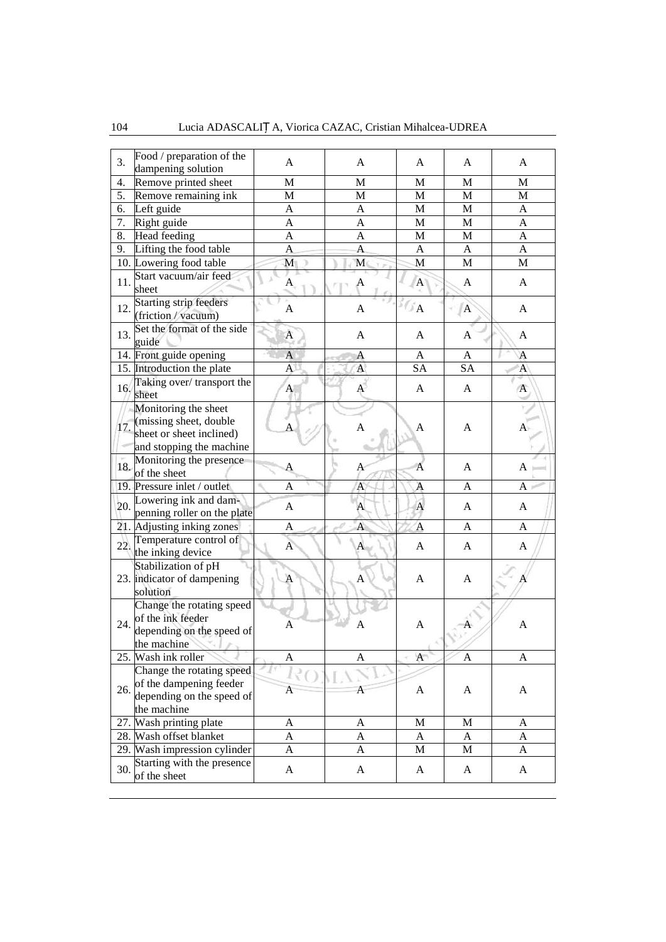| 3.  | Food / preparation of the<br>dampening solution                                                        | A                | A              | A                         | A            | A              |
|-----|--------------------------------------------------------------------------------------------------------|------------------|----------------|---------------------------|--------------|----------------|
| 4.  | Remove printed sheet                                                                                   | M                | M              | M                         | M            | M              |
| 5.  | Remove remaining ink                                                                                   | M                | M              | $\mathbf M$               | M            | M              |
| 6.  | Left guide                                                                                             | A                | A              | $\mathbf M$               | M            | A              |
| 7.  | Right guide                                                                                            | A                | A              | $\mathbf M$               | M            | A              |
| 8.  | Head feeding                                                                                           | A                | A              | $\mathbf M$               | M            | A              |
| 9.  | Lifting the food table                                                                                 | A                | A              | A                         | A            | A              |
|     | 10. Lowering food table                                                                                | M                | M              | M                         | M            | M              |
| 11. | Start vacuum/air feed<br>sheet                                                                         | A                | A              | $\mathbf{A}$              | A            | A              |
| 12. | <b>Starting strip feeders</b><br>(friction / vacuum)                                                   | A                | A              | $\mathbb{Z}_{\mathbf{A}}$ | $\mathbf{A}$ | A              |
| 13. | Set the format of the side<br>guide                                                                    | $\boldsymbol{A}$ | A              | A                         | A            | A              |
|     | 14. Front guide opening                                                                                | A                | Α              | A                         | A            | A              |
|     | 15. Introduction the plate                                                                             | A                | A              | SA                        | <b>SA</b>    | A              |
| 16. | Taking over/transport the<br>sheet                                                                     | A                | A              | A                         | A            | $\overline{A}$ |
| 17. | Monitoring the sheet<br>(missing sheet, double<br>sheet or sheet inclined)<br>and stopping the machine |                  | $\overline{A}$ | A                         | A            | A              |
| 18. | Monitoring the presence<br>of the sheet                                                                | A                | А              | $\overline{A}$            | A            | $A_{\perp}$    |
|     | 19. Pressure inlet / outlet                                                                            | A                | A              | A                         | A            | A              |
| 20. | Lowering ink and dam-<br>penning roller on the plate                                                   | A                | A              | $\mathbf{A}$              | A            | A              |
|     | 21. Adjusting inking zones                                                                             | Α                | $\overline{A}$ | $\overline{A}$            | A            | A              |
| 22. | Temperature control of<br>the inking device                                                            | $\mathbf{A}$     | A              | A                         | A            | A              |
|     | Stabilization of pH<br>23. indicator of dampening<br>solution                                          | A                | Α              | A                         | A            |                |
| 24. | Change the rotating speed<br>of the ink feeder<br>depending on the speed of<br>the machine             | A                | Α              | A                         |              | A              |
|     | 25. Wash ink roller                                                                                    | Α                | A              | A                         | A            | A              |
| 26. | Change the rotating speed<br>of the dampening feeder<br>depending on the speed of<br>the machine       | Α                | A              | A                         | A            | A              |
|     | 27. Wash printing plate                                                                                | A                | A              | $\mathbf M$               | $\mathbf M$  | A              |
|     | 28. Wash offset blanket                                                                                | A                | A              | A                         | A            | A              |
|     | 29. Wash impression cylinder                                                                           | A                | A              | M                         | M            | A              |
| 30. | Starting with the presence<br>of the sheet                                                             | $\mathbf A$      | $\mathbf{A}$   | A                         | A            | A              |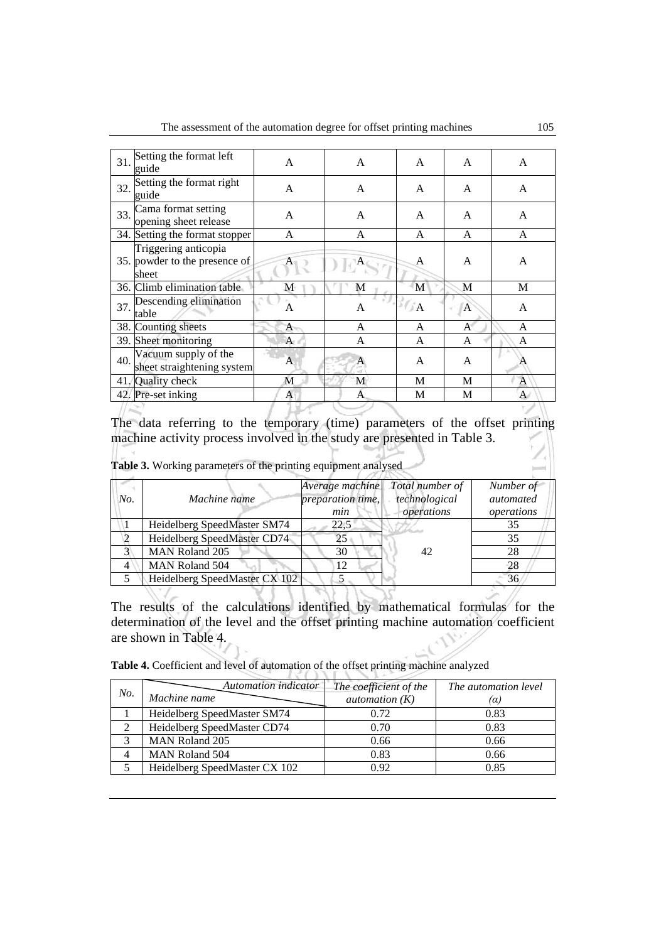| 31. | Setting the format left<br>guide                               | A | A | A              | A | A            |
|-----|----------------------------------------------------------------|---|---|----------------|---|--------------|
| 32. | Setting the format right<br>guide                              | A | A | A              | A | A            |
| 33. | Cama format setting<br>opening sheet release                   | A | A | A              | A | A            |
|     | 34. Setting the format stopper                                 | A | A | A              | A | A            |
|     | Triggering anticopia<br>35. powder to the presence of<br>sheet |   |   | A              | A | A            |
|     | 36. Climb elimination table                                    | М | M | M              | M | M            |
| 37. | Descending elimination<br>table                                | A | A | $\mathbb{Z}/A$ | A | A            |
|     | 38. Counting sheets                                            | A | A | A              | A | A            |
|     | 39. Sheet monitoring                                           | A | A | A              | A | A            |
| 40. | Vacuum supply of the<br>sheet straightening system             | A | A | A              | A | A            |
|     | 41. Quality check                                              | M | М | М              | M | $\mathbf{A}$ |
|     | 42. Pre-set inking                                             | A | A | M              | М | $\mathbf{A}$ |
|     |                                                                |   |   |                |   |              |

The data referring to the temporary (time) parameters of the offset printing machine activity process involved in the study are presented in Table 3.

**Table 3.** Working parameters of the printing equipment analysed

| No. | Machine name                  | Average machine<br>preparation time,<br>min | Total number of<br>technological<br>operations | Number of<br>automated<br>operations |
|-----|-------------------------------|---------------------------------------------|------------------------------------------------|--------------------------------------|
|     | Heidelberg SpeedMaster SM74   | 22,5                                        |                                                | 35                                   |
|     | Heidelberg SpeedMaster CD74   |                                             |                                                | 35                                   |
|     | <b>MAN Roland 205</b>         | 30                                          | 42                                             | 28                                   |
|     | <b>MAN Roland 504</b>         | 12                                          |                                                | 28                                   |
|     | Heidelberg SpeedMaster CX 102 |                                             |                                                | 36                                   |

The results of the calculations identified by mathematical formulas for the determination of the level and the offset printing machine automation coefficient are shown in Table 4.

**Table 4.** Coefficient and level of automation of the offset printing machine analyzed

| No. | Automation indicator<br>Machine name | The coefficient of the<br>automation $(K)$ | The automation level<br>(a) |
|-----|--------------------------------------|--------------------------------------------|-----------------------------|
|     | Heidelberg SpeedMaster SM74          | 0.72                                       | 0.83                        |
|     | Heidelberg SpeedMaster CD74          | 0.70                                       | 0.83                        |
|     | <b>MAN Roland 205</b>                | 0.66                                       | 0.66                        |
|     | <b>MAN Roland 504</b>                | 0.83                                       | 0.66                        |
|     | Heidelberg SpeedMaster CX 102        | 0.92                                       | 0.85                        |